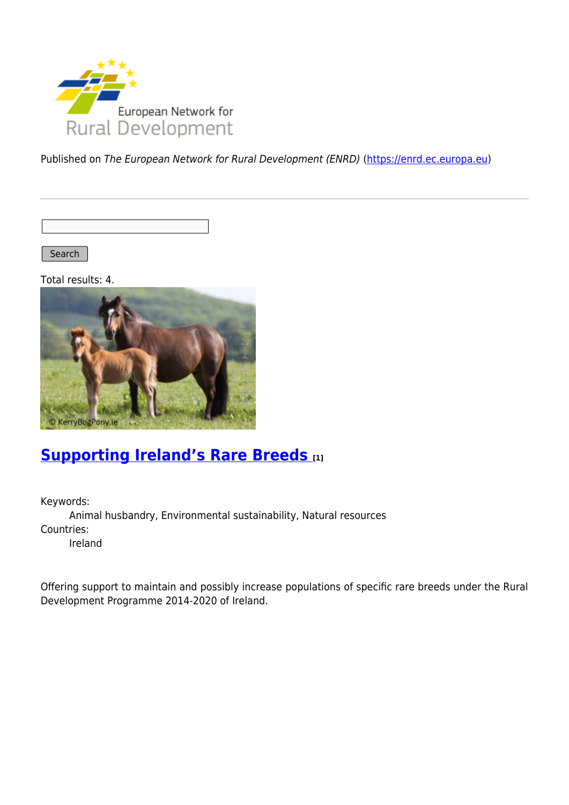

Published on The European Network for Rural Development (ENRD) [\(https://enrd.ec.europa.eu](https://enrd.ec.europa.eu))

Search |

Total results: 4.



## **[Supporting Ireland's Rare Breeds](https://enrd.ec.europa.eu/projects-practice/supporting-irelands-rare-breeds_en) [1]**

Keywords: Animal husbandry, Environmental sustainability, Natural resources Countries: Ireland

Offering support to maintain and possibly increase populations of specific rare breeds under the Rural Development Programme 2014-2020 of Ireland.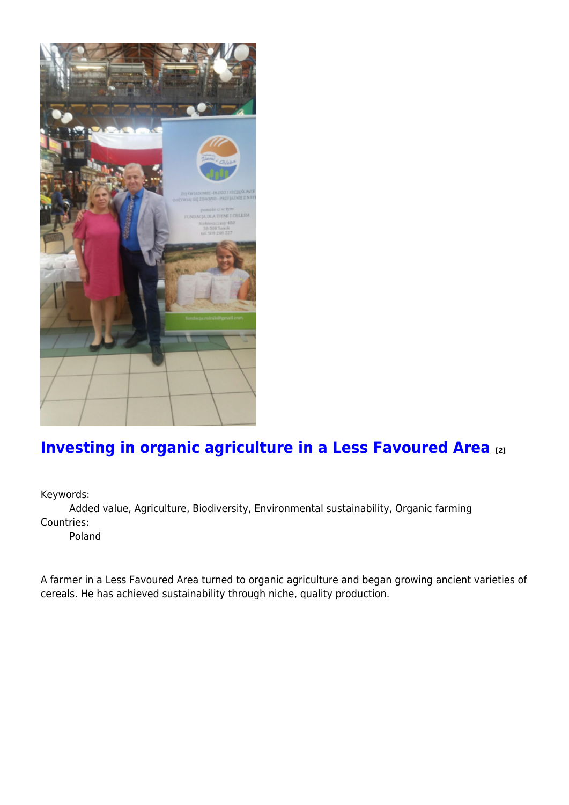

## **[Investing in organic agriculture in a Less Favoured Area](https://enrd.ec.europa.eu/projects-practice/investing-organic-agriculture-less-favoured-area_en) [2]**

Keywords:

Added value, Agriculture, Biodiversity, Environmental sustainability, Organic farming Countries:

Poland

A farmer in a Less Favoured Area turned to organic agriculture and began growing ancient varieties of cereals. He has achieved sustainability through niche, quality production.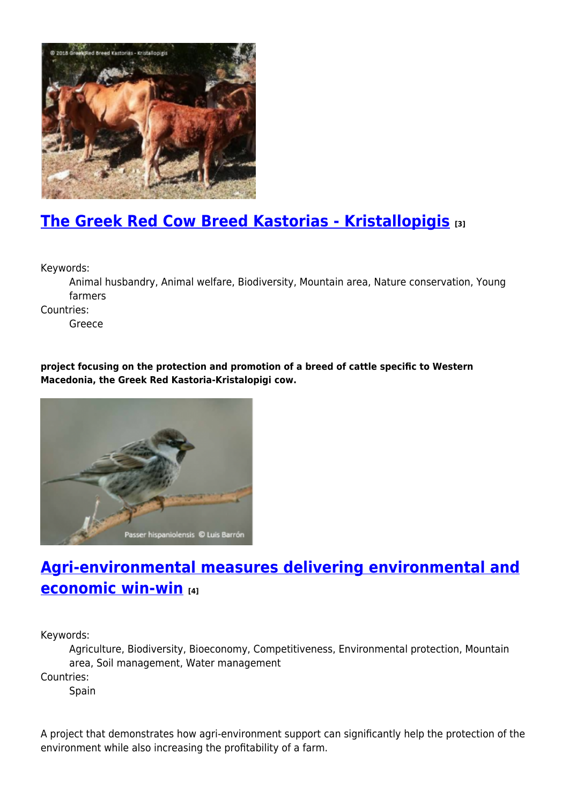

# **[The Greek Red Cow Breed Kastorias - Kristallopigis](https://enrd.ec.europa.eu/projects-practice/greek-red-cow-breed-kastorias-kristallopigis_en) [3]**

Keywords:

Animal husbandry, Animal welfare, Biodiversity, Mountain area, Nature conservation, Young farmers

Countries:

Greece

**project focusing on the protection and promotion of a breed of cattle specific to Western Macedonia, the Greek Red Kastoria-Kristalopigi cow.**



## **[Agri-environmental measures delivering environmental and](https://enrd.ec.europa.eu/projects-practice/agri-environmental-measures-environmental-economic-win-win_en) [economic win-win](https://enrd.ec.europa.eu/projects-practice/agri-environmental-measures-environmental-economic-win-win_en) [4]**

Keywords:

Agriculture, Biodiversity, Bioeconomy, Competitiveness, Environmental protection, Mountain area, Soil management, Water management Countries:

Spain

A project that demonstrates how agri-environment support can significantly help the protection of the environment while also increasing the profitability of a farm.